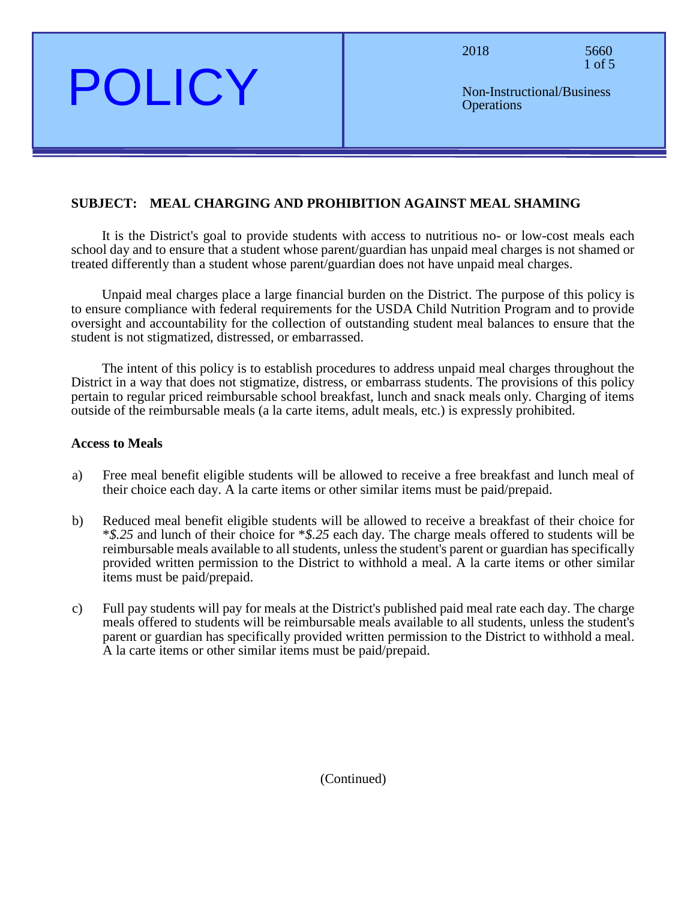2018 5660 1 of 5

Non-Instructional/Business **Operations** 

#### **SUBJECT: MEAL CHARGING AND PROHIBITION AGAINST MEAL SHAMING**

It is the District's goal to provide students with access to nutritious no- or low-cost meals each school day and to ensure that a student whose parent/guardian has unpaid meal charges is not shamed or treated differently than a student whose parent/guardian does not have unpaid meal charges.

Unpaid meal charges place a large financial burden on the District. The purpose of this policy is to ensure compliance with federal requirements for the USDA Child Nutrition Program and to provide oversight and accountability for the collection of outstanding student meal balances to ensure that the student is not stigmatized, distressed, or embarrassed.

The intent of this policy is to establish procedures to address unpaid meal charges throughout the District in a way that does not stigmatize, distress, or embarrass students. The provisions of this policy pertain to regular priced reimbursable school breakfast, lunch and snack meals only. Charging of items outside of the reimbursable meals (a la carte items, adult meals, etc.) is expressly prohibited.

#### **Access to Meals**

POLICY

- a) Free meal benefit eligible students will be allowed to receive a free breakfast and lunch meal of their choice each day. A la carte items or other similar items must be paid/prepaid.
- b) Reduced meal benefit eligible students will be allowed to receive a breakfast of their choice for \**\$.25* and lunch of their choice for \**\$.25* each day. The charge meals offered to students will be reimbursable meals available to all students, unless the student's parent or guardian has specifically provided written permission to the District to withhold a meal. A la carte items or other similar items must be paid/prepaid.
- c) Full pay students will pay for meals at the District's published paid meal rate each day. The charge meals offered to students will be reimbursable meals available to all students, unless the student's parent or guardian has specifically provided written permission to the District to withhold a meal. A la carte items or other similar items must be paid/prepaid.

#### (Continued)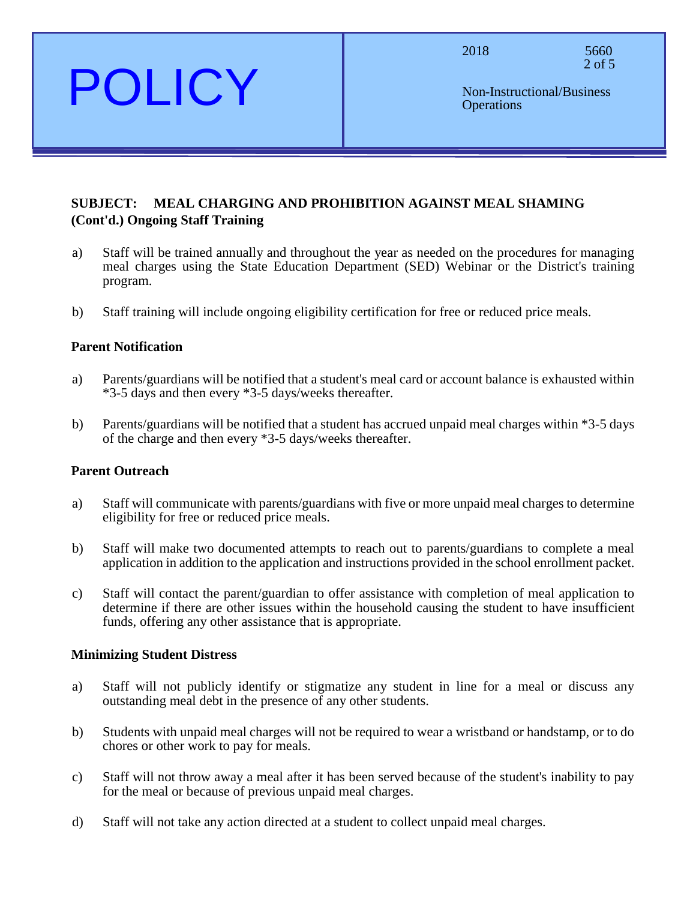2018 5660 2 of 5

POLICY

## **SUBJECT: MEAL CHARGING AND PROHIBITION AGAINST MEAL SHAMING (Cont'd.) Ongoing Staff Training**

- a) Staff will be trained annually and throughout the year as needed on the procedures for managing meal charges using the State Education Department (SED) Webinar or the District's training program.
- b) Staff training will include ongoing eligibility certification for free or reduced price meals.

#### **Parent Notification**

- a) Parents/guardians will be notified that a student's meal card or account balance is exhausted within \*3-5 days and then every \*3-5 days/weeks thereafter.
- b) Parents/guardians will be notified that a student has accrued unpaid meal charges within \*3-5 days of the charge and then every \*3-5 days/weeks thereafter.

#### **Parent Outreach**

- a) Staff will communicate with parents/guardians with five or more unpaid meal charges to determine eligibility for free or reduced price meals.
- b) Staff will make two documented attempts to reach out to parents/guardians to complete a meal application in addition to the application and instructions provided in the school enrollment packet.
- c) Staff will contact the parent/guardian to offer assistance with completion of meal application to determine if there are other issues within the household causing the student to have insufficient funds, offering any other assistance that is appropriate.

#### **Minimizing Student Distress**

- a) Staff will not publicly identify or stigmatize any student in line for a meal or discuss any outstanding meal debt in the presence of any other students.
- b) Students with unpaid meal charges will not be required to wear a wristband or handstamp, or to do chores or other work to pay for meals.
- c) Staff will not throw away a meal after it has been served because of the student's inability to pay for the meal or because of previous unpaid meal charges.
- d) Staff will not take any action directed at a student to collect unpaid meal charges.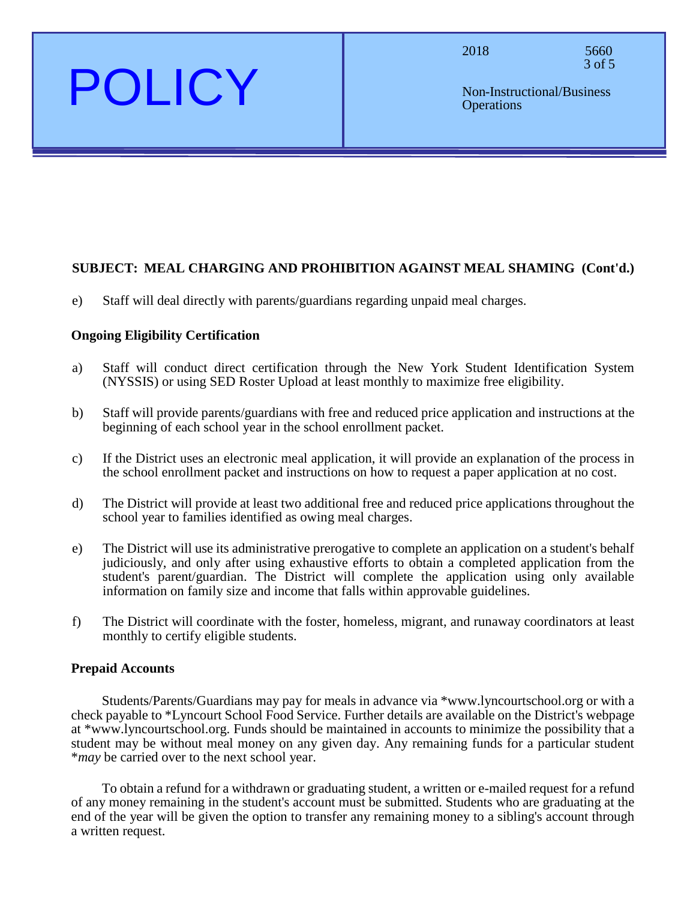# POLICY

2018 5660 3 of 5

### **SUBJECT: MEAL CHARGING AND PROHIBITION AGAINST MEAL SHAMING (Cont'd.)**

e) Staff will deal directly with parents/guardians regarding unpaid meal charges.

#### **Ongoing Eligibility Certification**

- a) Staff will conduct direct certification through the New York Student Identification System (NYSSIS) or using SED Roster Upload at least monthly to maximize free eligibility.
- b) Staff will provide parents/guardians with free and reduced price application and instructions at the beginning of each school year in the school enrollment packet.
- c) If the District uses an electronic meal application, it will provide an explanation of the process in the school enrollment packet and instructions on how to request a paper application at no cost.
- d) The District will provide at least two additional free and reduced price applications throughout the school year to families identified as owing meal charges.
- e) The District will use its administrative prerogative to complete an application on a student's behalf judiciously, and only after using exhaustive efforts to obtain a completed application from the student's parent/guardian. The District will complete the application using only available information on family size and income that falls within approvable guidelines.
- f) The District will coordinate with the foster, homeless, migrant, and runaway coordinators at least monthly to certify eligible students.

#### **Prepaid Accounts**

Students/Parents/Guardians may pay for meals in advance via \*www.lyncourtschool.org or with a check payable to \*Lyncourt School Food Service. Further details are available on the District's webpage at \*www.lyncourtschool.org. Funds should be maintained in accounts to minimize the possibility that a student may be without meal money on any given day. Any remaining funds for a particular student \**may* be carried over to the next school year.

To obtain a refund for a withdrawn or graduating student, a written or e-mailed request for a refund of any money remaining in the student's account must be submitted. Students who are graduating at the end of the year will be given the option to transfer any remaining money to a sibling's account through a written request.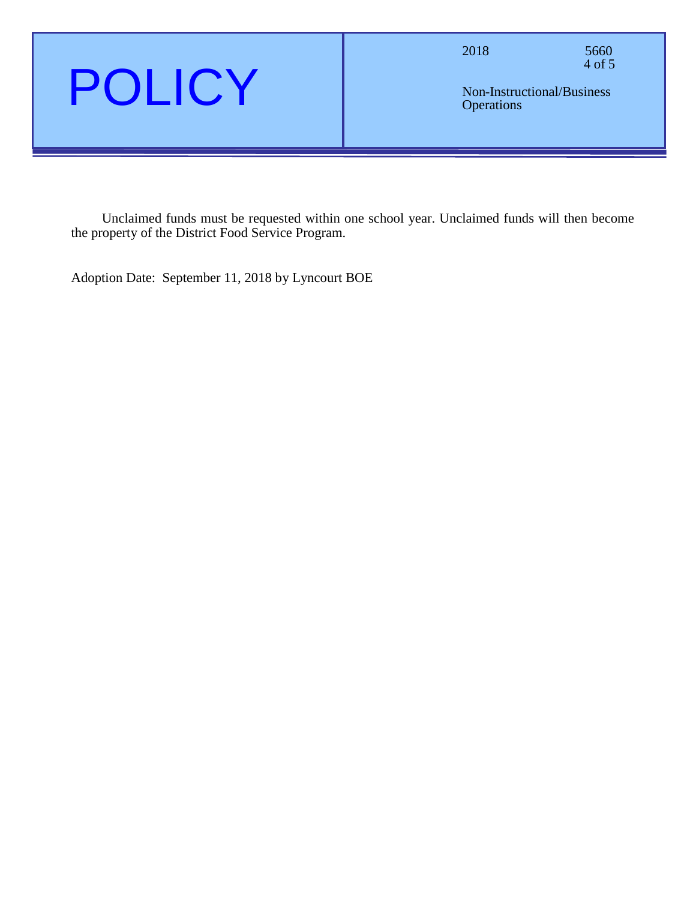

2018 5660 4 of 5

Non-Instructional/Business **Operations** 

Unclaimed funds must be requested within one school year. Unclaimed funds will then become the property of the District Food Service Program.

Adoption Date: September 11, 2018 by Lyncourt BOE